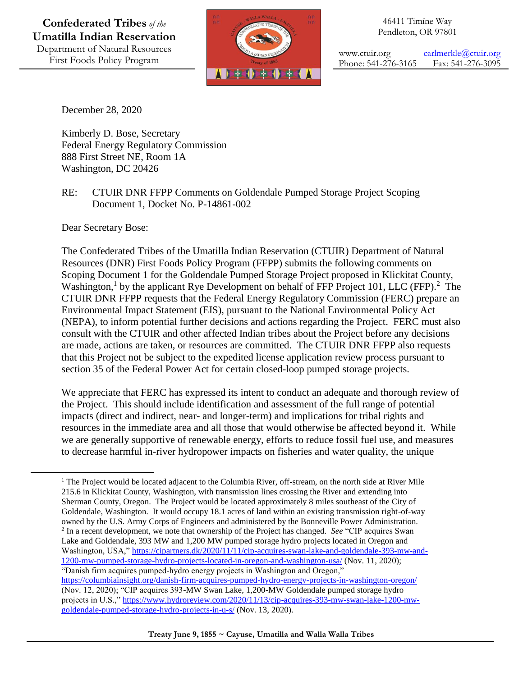

46411 Timíne Way Pendleton, OR 97801

www.ctuir.org [carlmerkle@ctuir.org](mailto:carlmerkle@ctuir.org) Phone: 541-276-3165 Fax: 541-276-3095

December 28, 2020

Kimberly D. Bose, Secretary Federal Energy Regulatory Commission 888 First Street NE, Room 1A Washington, DC 20426

RE: CTUIR DNR FFPP Comments on Goldendale Pumped Storage Project Scoping Document 1, Docket No. P-14861-002

Dear Secretary Bose:

 $\overline{a}$ 

The Confederated Tribes of the Umatilla Indian Reservation (CTUIR) Department of Natural Resources (DNR) First Foods Policy Program (FFPP) submits the following comments on Scoping Document 1 for the Goldendale Pumped Storage Project proposed in Klickitat County, Washington,<sup>1</sup> by the applicant Rye Development on behalf of FFP Project 101, LLC (FFP).<sup>2</sup> The CTUIR DNR FFPP requests that the Federal Energy Regulatory Commission (FERC) prepare an Environmental Impact Statement (EIS), pursuant to the National Environmental Policy Act (NEPA), to inform potential further decisions and actions regarding the Project. FERC must also consult with the CTUIR and other affected Indian tribes about the Project before any decisions are made, actions are taken, or resources are committed. The CTUIR DNR FFPP also requests that this Project not be subject to the expedited license application review process pursuant to section 35 of the Federal Power Act for certain closed-loop pumped storage projects.

We appreciate that FERC has expressed its intent to conduct an adequate and thorough review of the Project. This should include identification and assessment of the full range of potential impacts (direct and indirect, near- and longer-term) and implications for tribal rights and resources in the immediate area and all those that would otherwise be affected beyond it. While we are generally supportive of renewable energy, efforts to reduce fossil fuel use, and measures to decrease harmful in-river hydropower impacts on fisheries and water quality, the unique

<sup>&</sup>lt;sup>1</sup> The Project would be located adjacent to the Columbia River, off-stream, on the north side at River Mile 215.6 in Klickitat County, Washington, with transmission lines crossing the River and extending into Sherman County, Oregon. The Project would be located approximately 8 miles southeast of the City of Goldendale, Washington. It would occupy 18.1 acres of land within an existing transmission right-of-way owned by the U.S. Army Corps of Engineers and administered by the Bonneville Power Administration. 2 In a recent development, we note that ownership of the Project has changed. *See* "CIP acquires Swan Lake and Goldendale, 393 MW and 1,200 MW pumped storage hydro projects located in Oregon and Washington, USA," [https://cipartners.dk/2020/11/11/cip-acquires-swan-lake-and-goldendale-393-mw-and-](https://cipartners.dk/2020/11/11/cip-acquires-swan-lake-and-goldendale-393-mw-and-1200-mw-pumped-storage-hydro-projects-located-in-oregon-and-washington-usa/)[1200-mw-pumped-storage-hydro-projects-located-in-oregon-and-washington-usa/](https://cipartners.dk/2020/11/11/cip-acquires-swan-lake-and-goldendale-393-mw-and-1200-mw-pumped-storage-hydro-projects-located-in-oregon-and-washington-usa/) (Nov. 11, 2020); "Danish firm acquires pumped-hydro energy projects in Washington and Oregon,"

<https://columbiainsight.org/danish-firm-acquires-pumped-hydro-energy-projects-in-washington-oregon/> (Nov. 12, 2020); "CIP acquires 393-MW Swan Lake, 1,200-MW Goldendale pumped storage hydro projects in U.S.,[" https://www.hydroreview.com/2020/11/13/cip-acquires-393-mw-swan-lake-1200-mw](https://www.hydroreview.com/2020/11/13/cip-acquires-393-mw-swan-lake-1200-mw-goldendale-pumped-storage-hydro-projects-in-u-s/)[goldendale-pumped-storage-hydro-projects-in-u-s/](https://www.hydroreview.com/2020/11/13/cip-acquires-393-mw-swan-lake-1200-mw-goldendale-pumped-storage-hydro-projects-in-u-s/) (Nov. 13, 2020).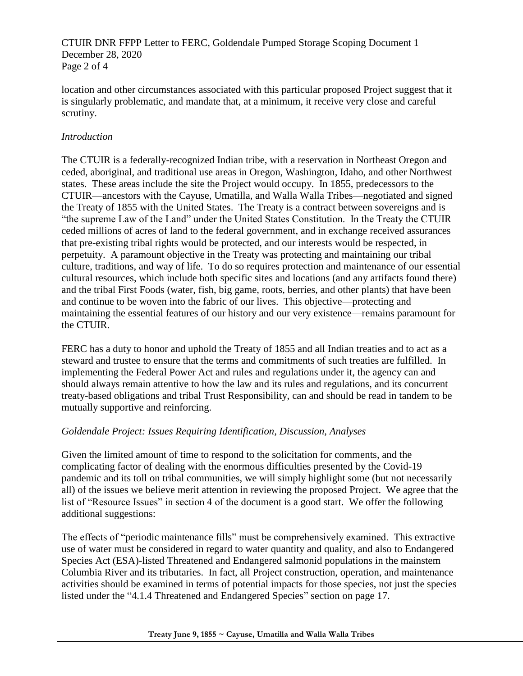CTUIR DNR FFPP Letter to FERC, Goldendale Pumped Storage Scoping Document 1 December 28, 2020 Page 2 of 4

location and other circumstances associated with this particular proposed Project suggest that it is singularly problematic, and mandate that, at a minimum, it receive very close and careful scrutiny.

## *Introduction*

The CTUIR is a federally-recognized Indian tribe, with a reservation in Northeast Oregon and ceded, aboriginal, and traditional use areas in Oregon, Washington, Idaho, and other Northwest states. These areas include the site the Project would occupy. In 1855, predecessors to the CTUIR—ancestors with the Cayuse, Umatilla, and Walla Walla Tribes—negotiated and signed the Treaty of 1855 with the United States. The Treaty is a contract between sovereigns and is "the supreme Law of the Land" under the United States Constitution. In the Treaty the CTUIR ceded millions of acres of land to the federal government, and in exchange received assurances that pre-existing tribal rights would be protected, and our interests would be respected, in perpetuity. A paramount objective in the Treaty was protecting and maintaining our tribal culture, traditions, and way of life. To do so requires protection and maintenance of our essential cultural resources, which include both specific sites and locations (and any artifacts found there) and the tribal First Foods (water, fish, big game, roots, berries, and other plants) that have been and continue to be woven into the fabric of our lives. This objective—protecting and maintaining the essential features of our history and our very existence—remains paramount for the CTUIR.

FERC has a duty to honor and uphold the Treaty of 1855 and all Indian treaties and to act as a steward and trustee to ensure that the terms and commitments of such treaties are fulfilled. In implementing the Federal Power Act and rules and regulations under it, the agency can and should always remain attentive to how the law and its rules and regulations, and its concurrent treaty-based obligations and tribal Trust Responsibility, can and should be read in tandem to be mutually supportive and reinforcing.

## *Goldendale Project: Issues Requiring Identification, Discussion, Analyses*

Given the limited amount of time to respond to the solicitation for comments, and the complicating factor of dealing with the enormous difficulties presented by the Covid-19 pandemic and its toll on tribal communities, we will simply highlight some (but not necessarily all) of the issues we believe merit attention in reviewing the proposed Project. We agree that the list of "Resource Issues" in section 4 of the document is a good start. We offer the following additional suggestions:

The effects of "periodic maintenance fills" must be comprehensively examined. This extractive use of water must be considered in regard to water quantity and quality, and also to Endangered Species Act (ESA)-listed Threatened and Endangered salmonid populations in the mainstem Columbia River and its tributaries. In fact, all Project construction, operation, and maintenance activities should be examined in terms of potential impacts for those species, not just the species listed under the "4.1.4 Threatened and Endangered Species" section on page 17.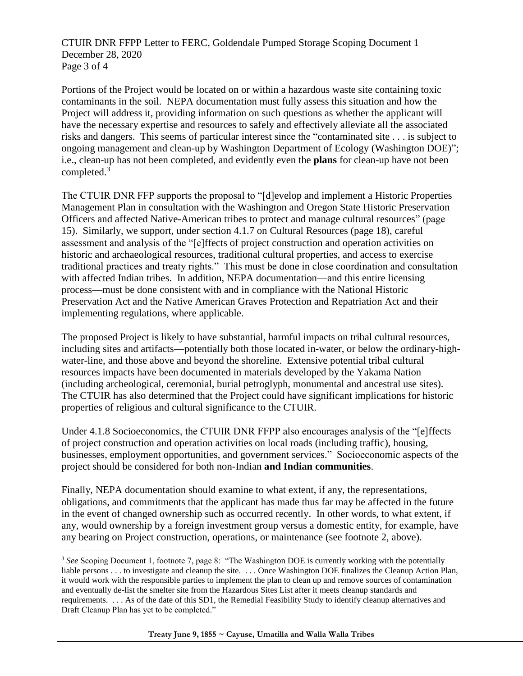CTUIR DNR FFPP Letter to FERC, Goldendale Pumped Storage Scoping Document 1 December 28, 2020 Page 3 of 4

Portions of the Project would be located on or within a hazardous waste site containing toxic contaminants in the soil. NEPA documentation must fully assess this situation and how the Project will address it, providing information on such questions as whether the applicant will have the necessary expertise and resources to safely and effectively alleviate all the associated risks and dangers. This seems of particular interest since the "contaminated site . . . is subject to ongoing management and clean-up by Washington Department of Ecology (Washington DOE)"; i.e., clean-up has not been completed, and evidently even the **plans** for clean-up have not been completed.<sup>3</sup>

The CTUIR DNR FFP supports the proposal to "[d]evelop and implement a Historic Properties Management Plan in consultation with the Washington and Oregon State Historic Preservation Officers and affected Native-American tribes to protect and manage cultural resources" (page 15). Similarly, we support, under section 4.1.7 on Cultural Resources (page 18), careful assessment and analysis of the "[e]ffects of project construction and operation activities on historic and archaeological resources, traditional cultural properties, and access to exercise traditional practices and treaty rights." This must be done in close coordination and consultation with affected Indian tribes. In addition, NEPA documentation—and this entire licensing process—must be done consistent with and in compliance with the National Historic Preservation Act and the Native American Graves Protection and Repatriation Act and their implementing regulations, where applicable.

The proposed Project is likely to have substantial, harmful impacts on tribal cultural resources, including sites and artifacts—potentially both those located in-water, or below the ordinary-highwater-line, and those above and beyond the shoreline. Extensive potential tribal cultural resources impacts have been documented in materials developed by the Yakama Nation (including archeological, ceremonial, burial petroglyph, monumental and ancestral use sites). The CTUIR has also determined that the Project could have significant implications for historic properties of religious and cultural significance to the CTUIR.

Under 4.1.8 Socioeconomics, the CTUIR DNR FFPP also encourages analysis of the "[e]ffects of project construction and operation activities on local roads (including traffic), housing, businesses, employment opportunities, and government services." Socioeconomic aspects of the project should be considered for both non-Indian **and Indian communities**.

Finally, NEPA documentation should examine to what extent, if any, the representations, obligations, and commitments that the applicant has made thus far may be affected in the future in the event of changed ownership such as occurred recently. In other words, to what extent, if any, would ownership by a foreign investment group versus a domestic entity, for example, have any bearing on Project construction, operations, or maintenance (see footnote 2, above).

l

<sup>&</sup>lt;sup>3</sup> See Scoping Document 1, footnote 7, page 8: "The Washington DOE is currently working with the potentially liable persons . . . to investigate and cleanup the site. . . . Once Washington DOE finalizes the Cleanup Action Plan, it would work with the responsible parties to implement the plan to clean up and remove sources of contamination and eventually de-list the smelter site from the Hazardous Sites List after it meets cleanup standards and requirements. . . . As of the date of this SD1, the Remedial Feasibility Study to identify cleanup alternatives and Draft Cleanup Plan has yet to be completed."